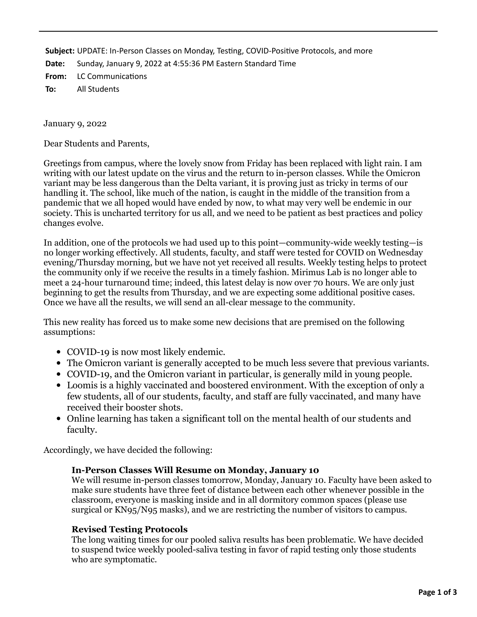**Subject:** UPDATE: In-Person Classes on Monday, Testing, COVID-Positive Protocols, and more

**Date:** Sunday, January 9, 2022 at 4:55:36 PM Eastern Standard Time

**From:** LC Communications

**To:** All Students

January 9, 2022

Dear Students and Parents,

Greetings from campus, where the lovely snow from Friday has been replaced with light rain. I am writing with our latest update on the virus and the return to in-person classes. While the Omicron variant may be less dangerous than the Delta variant, it is proving just as tricky in terms of our handling it. The school, like much of the nation, is caught in the middle of the transition from a pandemic that we all hoped would have ended by now, to what may very well be endemic in our society. This is uncharted territory for us all, and we need to be patient as best practices and policy changes evolve.

In addition, one of the protocols we had used up to this point—community-wide weekly testing—is no longer working effectively. All students, faculty, and staff were tested for COVID on Wednesday evening/Thursday morning, but we have not yet received all results. Weekly testing helps to protect the community only if we receive the results in a timely fashion. Mirimus Lab is no longer able to meet a 24-hour turnaround time; indeed, this latest delay is now over 70 hours. We are only just beginning to get the results from Thursday, and we are expecting some additional positive cases. Once we have all the results, we will send an all-clear message to the community.

This new reality has forced us to make some new decisions that are premised on the following assumptions:

- COVID-19 is now most likely endemic.
- The Omicron variant is generally accepted to be much less severe that previous variants.
- COVID-19, and the Omicron variant in particular, is generally mild in young people.
- Loomis is a highly vaccinated and boostered environment. With the exception of only a few students, all of our students, faculty, and staff are fully vaccinated, and many have received their booster shots.
- Online learning has taken a significant toll on the mental health of our students and faculty.

Accordingly, we have decided the following:

# **In-Person Classes Will Resume on Monday, January 10**

We will resume in-person classes tomorrow, Monday, January 10. Faculty have been asked to make sure students have three feet of distance between each other whenever possible in the classroom, everyone is masking inside and in all dormitory common spaces (please use surgical or KN95/N95 masks), and we are restricting the number of visitors to campus.

# **Revised Testing Protocols**

The long waiting times for our pooled saliva results has been problematic. We have decided to suspend twice weekly pooled-saliva testing in favor of rapid testing only those students who are symptomatic.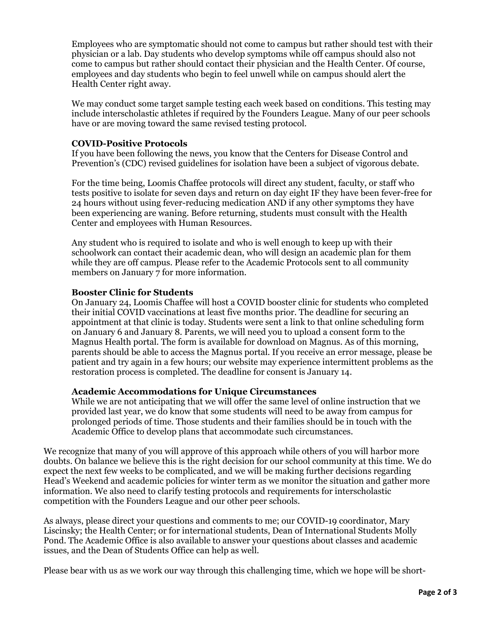Employees who are symptomatic should not come to campus but rather should test with their physician or a lab. Day students who develop symptoms while off campus should also not come to campus but rather should contact their physician and the Health Center. Of course, employees and day students who begin to feel unwell while on campus should alert the Health Center right away.

We may conduct some target sample testing each week based on conditions. This testing may include interscholastic athletes if required by the Founders League. Many of our peer schools have or are moving toward the same revised testing protocol.

# **COVID-Positive Protocols**

If you have been following the news, you know that the Centers for Disease Control and Prevention's (CDC) revised guidelines for isolation have been a subject of vigorous debate.

For the time being, Loomis Chaffee protocols will direct any student, faculty, or staff who tests positive to isolate for seven days and return on day eight IF they have been fever-free for 24 hours without using fever-reducing medication AND if any other symptoms they have been experiencing are waning. Before returning, students must consult with the Health Center and employees with Human Resources.

Any student who is required to isolate and who is well enough to keep up with their schoolwork can contact their academic dean, who will design an academic plan for them while they are off campus. Please refer to the Academic Protocols sent to all community members on January 7 for more information.

# **Booster Clinic for Students**

On January 24, Loomis Chaffee will host a COVID booster clinic for students who completed their initial COVID vaccinations at least five months prior. The deadline for securing an appointment at that clinic is today. Students were sent a link to that online scheduling form on January 6 and January 8. Parents, we will need you to upload a consent form to the Magnus Health portal. The form is available for download on Magnus. As of this morning, parents should be able to access the Magnus portal. If you receive an error message, please be patient and try again in a few hours; our website may experience intermittent problems as the restoration process is completed. The deadline for consent is January 14.

# **Academic Accommodations for Unique Circumstances**

While we are not anticipating that we will offer the same level of online instruction that we provided last year, we do know that some students will need to be away from campus for prolonged periods of time. Those students and their families should be in touch with the Academic Office to develop plans that accommodate such circumstances.

We recognize that many of you will approve of this approach while others of you will harbor more doubts. On balance we believe this is the right decision for our school community at this time. We do expect the next few weeks to be complicated, and we will be making further decisions regarding Head's Weekend and academic policies for winter term as we monitor the situation and gather more information. We also need to clarify testing protocols and requirements for interscholastic competition with the Founders League and our other peer schools.

As always, please direct your questions and comments to me; our COVID-19 coordinator, Mary Liscinsky; the Health Center; or for international students, Dean of International Students Molly Pond. The Academic Office is also available to answer your questions about classes and academic issues, and the Dean of Students Office can help as well.

Please bear with us as we work our way through this challenging time, which we hope will be short-